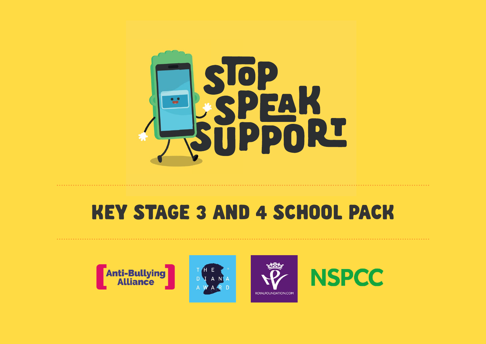

## KEY STAGE 3 AND 4 SCHOOL PACK









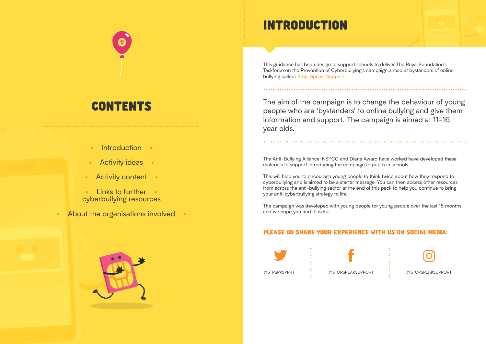This guidance has been design to support schools to deliver The Royal Foundation's Taskforce on the Prevention of Cyberbullying's campaign aimed at bystanders of online bullying called: Stop, Speak, Support.

The aim of the campaign is to change the behaviour of young people who are 'bystanders' to online bullying and give them information and support. The campaign is aimed at 11-16 year olds.

The Anti-Bullying Alliance, NSPCC and Diana Award have worked have developed these materials to support introducing the campaign to pupils in schools.

This will help you to encourage young people to think twice about how they respond to cyberbullying and is aimed to be a starter message. You can then access other resources from across the anti-bullying sector at the end of this pack to help you continue to bring your anti-cyberbullying strategy to life.

The campaign was developed with young people for young people over the last 18 months and we hope you find it useful.

## INTRODUCTION

## CONTENTS

- **Introduction**
- **Activity ideas**
- Activity content
- Links to further cyberbullying resources
- About the organisations involved







#### PLEASE DO SHARE YOUR EXPERIENCE WITH US ON SOCIAL MEDIA: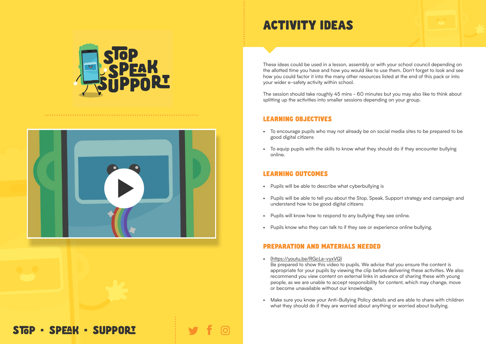These ideas could be used in a lesson, assembly or with your school council depending on the allotted time you have and how you would like to use them. Don't forget to look and see how you could factor it into the many other resources listed at the end of this pack or into your wider e-safety activity within school.

The session should take roughly 45 mins - 60 minutes but you may also like to think about splitting up the activities into smaller sessions depending on your group.

#### LEARNING OBJECTIVES

- (https://youtu.be/RGcLa-vyxVQ) Be prepared to show this video to pupils. We advise that you ensure the content is appropriate for your pupils by viewing the clip before delivering these activities. We also recommend you view content on external links in advance of sharing these with young people, as we are unable to accept responsibility for content, which may change, move or become unavailable without our knowledge.
- Make sure you know your Anti-Bullying Policy details and are able to share with children what they should do if they are worried about anything or worried about bullying.

## STOP · SPEAK · SUPPORT

- To encourage pupils who may not already be on social media sites to be prepared to be good digital citizens
- To equip pupils with the skills to know what they should do if they encounter bullying online.

#### LEARNING OUTCOMES

- Pupils will be able to describe what cyberbullying is
- Pupils will be able to tell you about the Stop, Speak, Support strategy and campaign and understand how to be good digital citizens
- Pupils will know how to respond to any bullying they see online.
- Pupils know who they can talk to if they see or experience online bullying.

#### PREPARATION AND MATERIALS NEEDED





## ACTIVITY IDEAS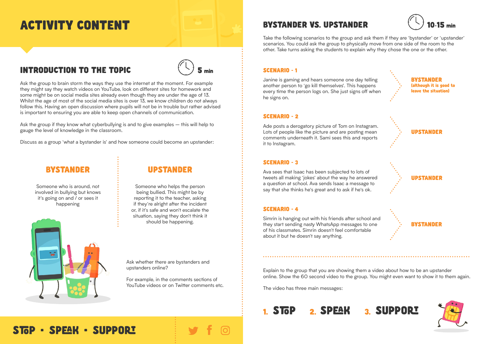



Ask the group to brain storm the ways they use the internet at the moment. For example they might say they watch videos on YouTube, look on different sites for homework and some might be on social media sites already even though they are under the age of 13. Whilst the age of most of the social media sites is over 13, we know children do not always follow this. Having an open discussion where pupils will not be in trouble but rather advised is important to ensuring you are able to keep open channels of communication.

Ask the group if they know what cyberbullying is and to give examples – this will help to gauge the level of knowledge in the classroom.

> For example, in the comments sections of YouTube videos or on Twitter comments etc.

## BYSTANDER VS. UPSTANDER  $\sim$  10-15 min

Discuss as a group 'what a bystander is' and how someone could become an upstander:

### **BYSTANDER**

Take the following scenarios to the group and ask them if they are 'bystander' or 'upstander' scenarios. You could ask the group to physically move from one side of the room to the other. Take turns asking the students to explain why they chose the one or the other.

Explain to the group that you are showing them a video about how to be an upstander online. Show the 60 second video to the group. You might even want to show it to them again.

The video has three main messages:

## STOP 2. SPEAK 3. SUPPORI



Ask whether there are bystanders and upstanders online?

Someone who is around, not involved in bullying but knows it's going on and / or sees it happening

#### SCENARIO - 1

Janine is gaming and hears someone one day telling another person to 'go kill themselves'. This happens every time the person logs on. She just signs off when he signs on.

#### SCENARIO - 2

Ade posts a derogatory picture of Tom on Instagram. Lots of people like the picture and are posting mean comments underneath it. Sami sees this and reports it to Instagram.

#### SCENARIO - 3

Ava sees that Isaac has been subjected to lots of tweets all making 'jokes' about the way he answered a question at school. Ava sends Isaac a message to say that she thinks he's great and to ask if he's ok.

#### SCENARIO - 4

Simrin is hanging out with his friends after school and they start sending nasty WhatsApp messages to one of his classmates. Simrin doesn't feel comfortable about it but he doesn't say anything.







#### UPSTANDER

Someone who helps the person being bullied. This might be by reporting it to the teacher, asking if they're alright after the incident or, if it's safe and won't escalate the situation, saying they don't think it should be happening.



STOP · SPEAK · SUPPORT

## ACTIVITY CONTENT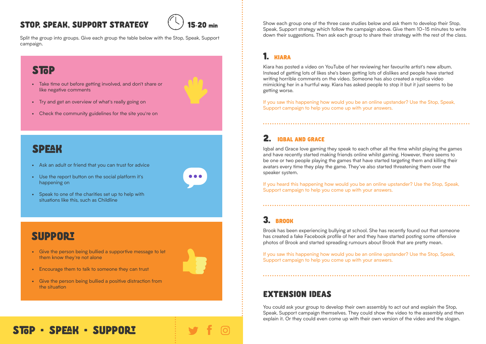## STOP, SPEAK, SUPPORT STRATEGY



Split the group into groups. Give each group the table below with the Stop, Speak, Support campaign.

## **STOP**

### EXTENSION IDEAS

You could ask your group to develop their own assembly to act out and explain the Stop, Speak, Support campaign themselves. They could show the video to the assembly and then explain it. Or they could even come up with their own version of the video and the slogan.

## STOP · SPEAK · SUPPORT

Show each group one of the three case studies below and ask them to develop their Stop, Speak, Support strategy which follow the campaign above. Give them 10-15 minutes to write down their suggestions. Then ask each group to share their strategy with the rest of the class.

#### 1. KIARA

If you heard this happening how would you be an online upstander? Use the Stop, Speak, Support campaign to help you come up with your answers.

Kiara has posted a video on YouTube of her reviewing her favourite artist's new album. Instead of getting lots of likes she's been getting lots of dislikes and people have started writing horrible comments on the video. Someone has also created a replica video mimicking her in a hurtful way. Kiara has asked people to stop it but it just seems to be getting worse.

• Take time out before getting involved, and don't share or like negative comments



- Try and get an overview of what's really going on
- Check the community guidelines for the site you're on

## **SPEAK**

If you saw this happening how would you be an online upstander? Use the Stop, Speak, Support campaign to help you come up with your answers.

#### 2. IOBAL AND GRACE

Iqbal and Grace love gaming they speak to each other all the time whilst playing the games and have recently started making friends online whilst gaming. However, there seems to be one or two people playing the games that have started targeting them and killing their avatars every time they play the game. They've also started threatening them over the speaker system.

### 3. BROOK

Brook has been experiencing bullying at school. She has recently found out that someone has created a fake Facebook profile of her and they have started posting some offensive photos of Brook and started spreading rumours about Brook that are pretty mean.

If you saw this happening how would you be an online upstander? Use the Stop, Speak, Support campaign to help you come up with your answers.

- Ask an adult or friend that you can trust for advice
- Use the report button on the social platform it's happening on



## **SUPPORT**

- Give the person being bullied a supportive message to let them know they're not alone
	-
- Encourage them to talk to someone they can trust
- Give the person being bullied a positive distraction from the situation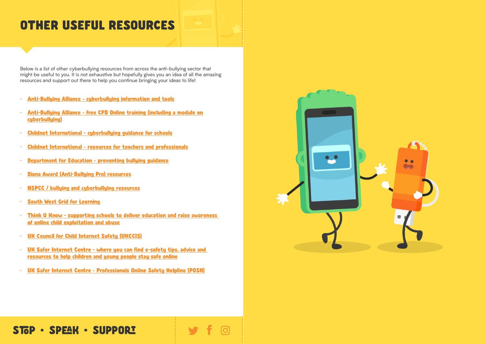Below is a list of other cyberbullying resources from across the anti-bullying sector that might be useful to you. It is not exhaustive but hopefully gives you an idea of all the amazing resources and support out there to help you continue bringing your ideas to life!

- Anti-Bullying Alliance cyberbullying information and tools
- Anti-Bullying Alliance free CPD Online training (including a module on cyberbullying)
- Childnet International cyberbullying guidance for schools
- Childnet International resources for teachers and professionals
- Department for Education preventing bullying guidance
- Diana Award (Anti-Bullying Pro) resources
- NSPCC / bullying and cyberbullying resources
- South West Grid for Learning
- Think U Know supporting schools to deliver education and raise awareness of online child exploitation and abuse
- UK Council for Child Internet Safety (UKCCIS)
- UK Safer Internet Centre where you can find e-safety tips, advice and resources to help children and young people stay safe online
- UK Safer Internet Centre Professionals Online Safety Helpline (POSH)



## STOP · SPEAK · SUPPORT

## OTHER USEFUL RESOURCES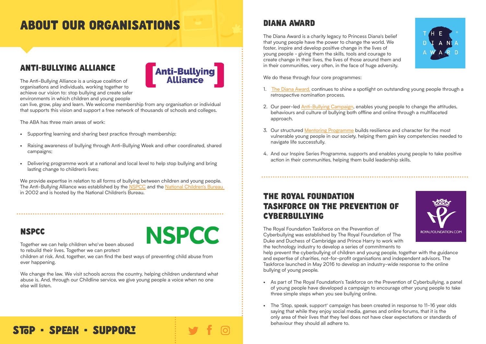## DIANA AWARD

The Diana Award is a charity legacy to Princess Diana's belief that young people have the power to change the world. We foster, inspire and develop positive change in the lives of young people - giving them the skills, tools and courage to create change in their lives, the lives of those around them and in their communities, very often, in the face of huge adversity.

We do these through four core programmes:

- 1. The Diana Award, continues to shine a spotlight on outstanding young people through a retrospective nomination process.
- 2. Our peer-led **Anti-Bullying Campaign**, enables young people to change the attitudes, behaviours and culture of bullying both offline and online through a multifaceted approach.
- 3. Our structured Mentoring Programme builds resilience and character for the most vulnerable young people in our society, helping them gain key competencies needed to navigate life successfully.
- 4. And our Inspire Series Programme, supports and enables young people to take positive action in their communities, helping them build leadership skills.

## THE ROYAL FOUNDATION TASKFORCE ON THE PREVENTION OF CYBERBULLYING

The Royal Foundation Taskforce on the Prevention of Cyberbullying was established by The Royal Foundation of The Duke and Duchess of Cambridge and Prince Harry to work with the technology industry to develop a series of commitments to help prevent the cyberbullying of children and young people, together with the guidance and expertise of charities, not-for-profit organisations and independent advisors. The Taskforce launched in May 2016 to develop an industry-wide response to the online bullying of young people.

- As part of The Royal Foundation's Taskforce on the Prevention of Cyberbullying, a panel of young people have developed a campaign to encourage other young people to take three simple steps when you see bullying online.
- The 'Stop, speak, support' campaign has been created in response to 11-16 year olds saying that while they enjoy social media, games and online forums, that it is the only area of their lives that they feel does not have clear expectations or standards of behaviour they should all adhere to.

## STOP · SPEAK · SUPPORT





## ABOUT OUR ORGANISATIONS

## ANTI-BULLYING ALLIANCE

The Anti-Bullying Alliance is a unique coalition of organisations and individuals, working together to achieve our vision to: stop bullying and create safer environments in which children and young people



can live, grow, play and learn. We welcome membership from any organisation or individual that supports this vision and support a free network of thousands of schools and colleges.

The ABA has three main areas of work:

- Supporting learning and sharing best practice through membership;
- Raising awareness of bullying through Anti-Bullying Week and other coordinated, shared campaigns;
- Delivering programme work at a national and local level to help stop bullying and bring lasting change to children's lives;

We provide expertise in relation to all forms of bullying between children and young people. The Anti-Bullying Alliance was established by the **NSPCC** and the National Children's Bureau in 2002 and is hosted by the National Children's Bureau.

#### NSPCC

![](_page_6_Picture_11.jpeg)

Together we can help children who've been abused

to rebuild their lives. Together we can protect

children at risk. And, together, we can find the best ways of preventing child abuse from ever happening.

We change the law. We visit schools across the country, helping children understand what abuse is. And, through our Childline service, we give young people a voice when no one else will listen.